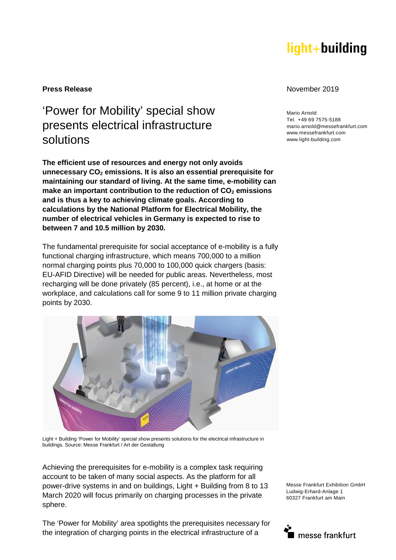# light+building

## 'Power for Mobility' special show presents electrical infrastructure solutions

**The efficient use of resources and energy not only avoids unnecessary CO2 emissions. It is also an essential prerequisite for maintaining our standard of living. At the same time, e-mobility can make an important contribution to the reduction of CO2 emissions and is thus a key to achieving climate goals. According to calculations by the National Platform for Electrical Mobility, the number of electrical vehicles in Germany is expected to rise to between 7 and 10.5 million by 2030.** 

The fundamental prerequisite for social acceptance of e-mobility is a fully functional charging infrastructure, which means 700,000 to a million normal charging points plus 70,000 to 100,000 quick chargers (basis: EU-AFID Directive) will be needed for public areas. Nevertheless, most recharging will be done privately (85 percent), i.e., at home or at the workplace, and calculations call for some 9 to 11 million private charging points by 2030.



Light + Building 'Power for Mobility' special show presents solutions for the electrical infrastructure in buildings. Source: Messe Frankfurt / Art der Gestaltung

Achieving the prerequisites for e-mobility is a complex task requiring account to be taken of many social aspects. As the platform for all power-drive systems in and on buildings, Light + Building from 8 to 13 March 2020 will focus primarily on charging processes in the private sphere.

The 'Power for Mobility' area spotlights the prerequisites necessary for the integration of charging points in the electrical infrastructure of a

#### **Press Release November 2019**

Mario Arnold Tel. +49 69 7575-5188 mario.arnold@messefrankfurt.com www.messefrankfurt.com www.light-building.com

Messe Frankfurt Exhibition GmbH Ludwig-Erhard-Anlage 1 60327 Frankfurt am Main